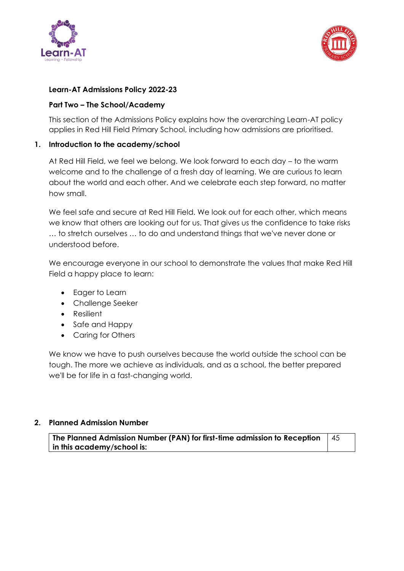



## **Learn-AT Admissions Policy 2022-23**

#### **Part Two – The School/Academy**

This section of the Admissions Policy explains how the overarching Learn-AT policy applies in Red Hill Field Primary School, including how admissions are prioritised.

#### **1. Introduction to the academy/school**

At Red Hill Field, we feel we belong. We look forward to each day – to the warm welcome and to the challenge of a fresh day of learning. We are curious to learn about the world and each other. And we celebrate each step forward, no matter how small.

We feel safe and secure at Red Hill Field. We look out for each other, which means we know that others are looking out for us. That gives us the confidence to take risks … to stretch ourselves … to do and understand things that we've never done or understood before.

We encourage everyone in our school to demonstrate the values that make Red Hill Field a happy place to learn:

- Eager to Learn
- Challenge Seeker
- Resilient
- Safe and Happy
- Caring for Others

We know we have to push ourselves because the world outside the school can be tough. The more we achieve as individuals, and as a school, the better prepared we'll be for life in a fast-changing world.

## **2. Planned Admission Number**

**The Planned Admission Number (PAN) for first-time admission to Reception in this academy/school is:** 45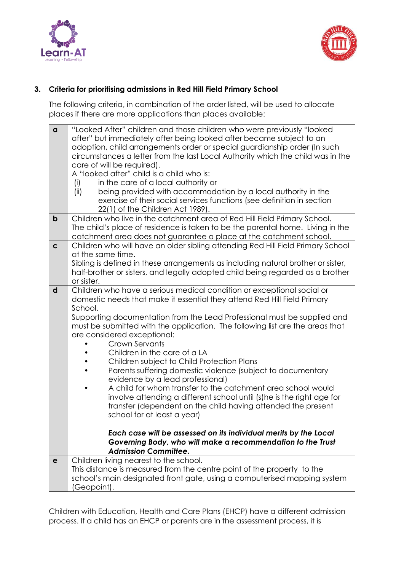



# **3. Criteria for prioritising admissions in Red Hill Field Primary School**

The following criteria, in combination of the order listed, will be used to allocate places if there are more applications than places available:

| $\alpha$    | "Looked After" children and those children who were previously "looked<br>after" but immediately after being looked after became subject to an<br>adoption, child arrangements order or special guardianship order (In such<br>circumstances a letter from the last Local Authority which the child was in the<br>care of will be required).<br>A "looked after" child is a child who is:<br>in the care of a local authority or<br>(i)<br>being provided with accommodation by a local authority in the<br>(ii)<br>exercise of their social services functions (see definition in section<br>22(1) of the Children Act 1989).                                                                                                                                                                                                                                                                                                                                          |
|-------------|-------------------------------------------------------------------------------------------------------------------------------------------------------------------------------------------------------------------------------------------------------------------------------------------------------------------------------------------------------------------------------------------------------------------------------------------------------------------------------------------------------------------------------------------------------------------------------------------------------------------------------------------------------------------------------------------------------------------------------------------------------------------------------------------------------------------------------------------------------------------------------------------------------------------------------------------------------------------------|
| $\mathbf b$ | Children who live in the catchment area of Red Hill Field Primary School.<br>The child's place of residence is taken to be the parental home. Living in the<br>catchment area does not guarantee a place at the catchment school.                                                                                                                                                                                                                                                                                                                                                                                                                                                                                                                                                                                                                                                                                                                                       |
| $\mathbf c$ | Children who will have an older sibling attending Red Hill Field Primary School<br>at the same time.<br>Sibling is defined in these arrangements as including natural brother or sister,<br>half-brother or sisters, and legally adopted child being regarded as a brother<br>or sister.                                                                                                                                                                                                                                                                                                                                                                                                                                                                                                                                                                                                                                                                                |
| d           | Children who have a serious medical condition or exceptional social or<br>domestic needs that make it essential they attend Red Hill Field Primary<br>School.<br>Supporting documentation from the Lead Professional must be supplied and<br>must be submitted with the application. The following list are the areas that<br>are considered exceptional:<br>Crown Servants<br>Children in the care of a LA<br>Children subject to Child Protection Plans<br>Parents suffering domestic violence (subject to documentary<br>evidence by a lead professional)<br>A child for whom transfer to the catchment area school would<br>involve attending a different school until (s) he is the right age for<br>transfer (dependent on the child having attended the present<br>school for at least a year)<br>Each case will be assessed on its individual merits by the Local<br>Governing Body, who will make a recommendation to the Trust<br><b>Admission Committee.</b> |
| e           | Children living nearest to the school.<br>This distance is measured from the centre point of the property to the<br>school's main designated front gate, using a computerised mapping system<br>(Geopoint).                                                                                                                                                                                                                                                                                                                                                                                                                                                                                                                                                                                                                                                                                                                                                             |

Children with Education, Health and Care Plans (EHCP) have a different admission process. If a child has an EHCP or parents are in the assessment process, it is